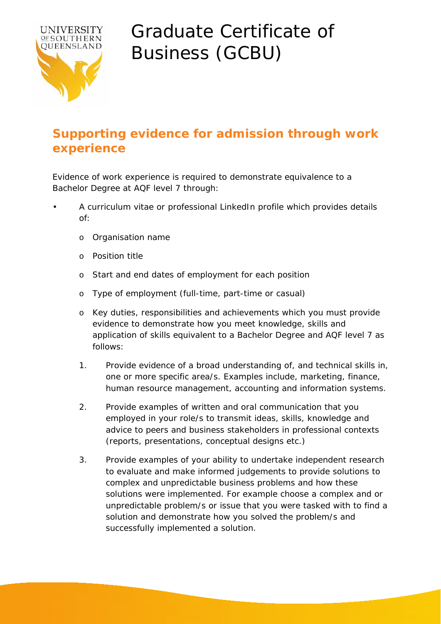

## Graduate Certificate of Business (GCBU)

## **Supporting evidence for admission through work experience**

Evidence of work experience is required to demonstrate equivalence to a Bachelor Degree at AQF level 7 through:

- A curriculum vitae or professional LinkedIn profile which provides details of:
	- o Organisation name
	- o Position title
	- o Start and end dates of employment for each position
	- o Type of employment (full-time, part-time or casual)
	- o Key duties, responsibilities and achievements which you must provide evidence to demonstrate how you meet knowledge, skills and application of skills equivalent to a Bachelor Degree and AQF level 7 as follows:
	- 1. Provide evidence of a broad understanding of, and technical skills in, one or more specific area/s. Examples include, marketing, finance, human resource management, accounting and information systems.
	- 2. Provide examples of written and oral communication that you employed in your role/s to transmit ideas, skills, knowledge and advice to peers and business stakeholders in professional contexts (reports, presentations, conceptual designs etc.)
	- 3. Provide examples of your ability to undertake independent research to evaluate and make informed judgements to provide solutions to complex and unpredictable business problems and how these solutions were implemented. For example choose a complex and or unpredictable problem/s or issue that you were tasked with to find a solution and demonstrate how you solved the problem/s and successfully implemented a solution.